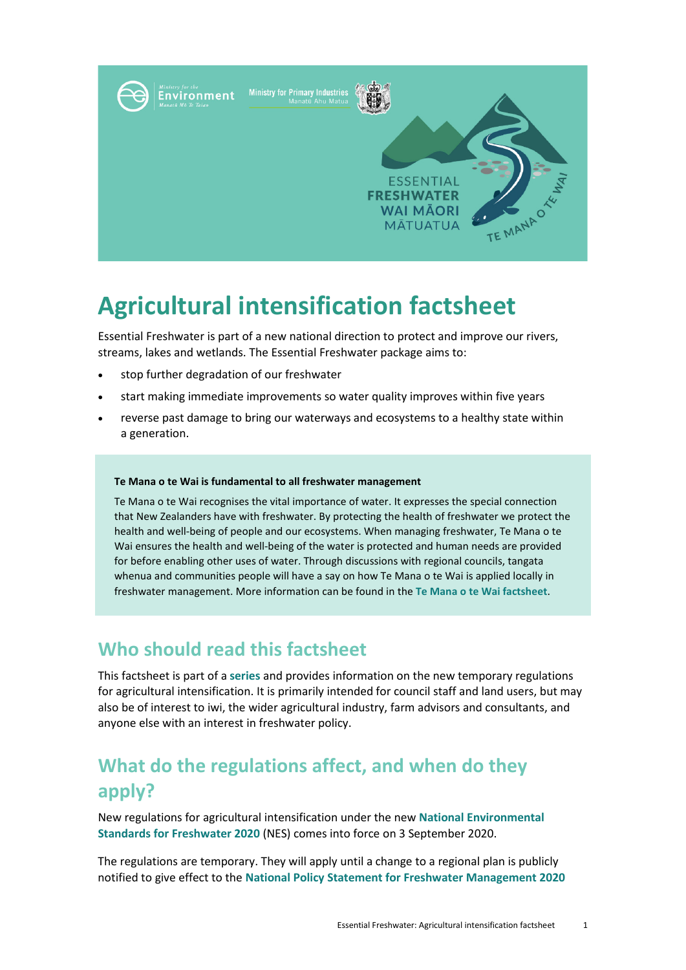

# **Agricultural intensification factsheet**

Essential Freshwater is part of a new national direction to protect and improve our rivers, streams, lakes and wetlands. The Essential Freshwater package aims to:

- stop further degradation of our freshwater
- start making immediate improvements so water quality improves within five years
- reverse past damage to bring our waterways and ecosystems to a healthy state within a generation.

#### **Te Mana o te Wai is fundamental to all freshwater management**

Te Mana o te Wai recognises the vital importance of water. It expresses the special connection that New Zealanders have with freshwater. By protecting the health of freshwater we protect the health and well-being of people and our ecosystems. When managing freshwater, Te Mana o te Wai ensures the health and well-being of the water is protected and human needs are provided for before enabling other uses of water. Through discussions with regional councils, tangata whenua and communities people will have a say on how Te Mana o te Wai is applied locally in freshwater management. More information can be found in the **[Te Mana o te Wai factsheet](https://www.mfe.govt.nz/publications/fresh-water/essential-freshwater-te-mana-o-te-wai-factsheet)**.

### **Who should read this factsheet**

This factsheet is part of a **[series](https://www.mfe.govt.nz/fresh-water/freshwater-guidance/factsheets-policies-and-regulations-essential-freshwater)** and provides information on the new temporary regulations for agricultural intensification. It is primarily intended for council staff and land users, but may also be of interest to iwi, the wider agricultural industry, farm advisors and consultants, and anyone else with an interest in freshwater policy.

# **What do the regulations affect, and when do they apply?**

New regulations for agricultural intensification under the new **[National Environmental](http://www.legislation.govt.nz/regulation/public/2020/0174/latest/LMS364099.html)  [Standards for Freshwater](http://www.legislation.govt.nz/regulation/public/2020/0174/latest/LMS364099.html) 2020** (NES) comes into force on 3 September 2020.

The regulations are temporary. They will apply until a change to a regional plan is publicly notified to give effect to the **[National Policy Statement for Freshwater Management](https://www.mfe.govt.nz/publications/fresh-water/national-policy-statement-freshwater-management-2020) 2020**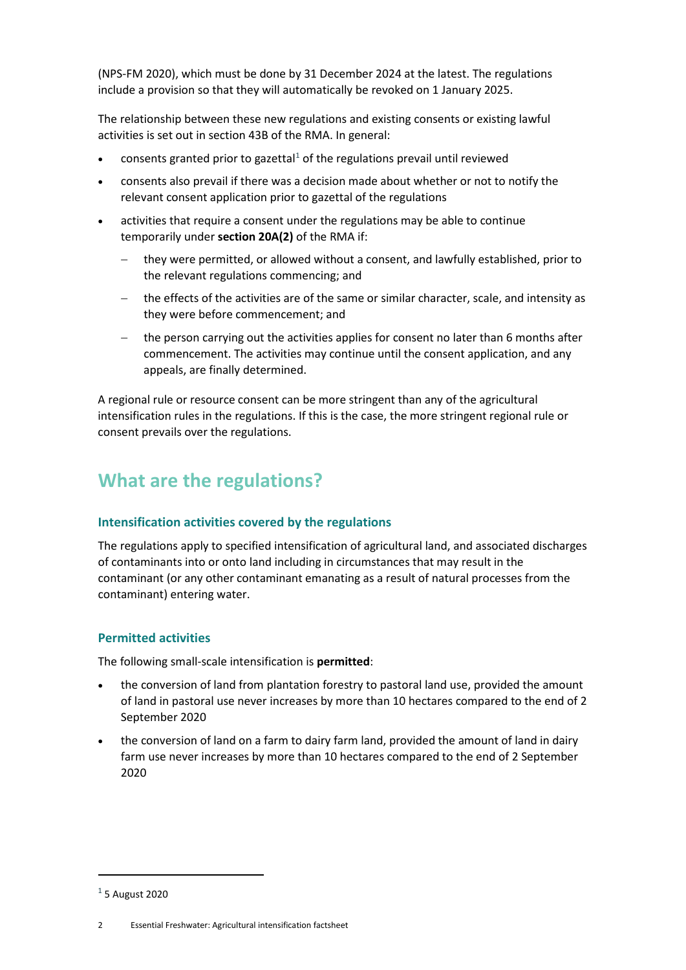(NPS-FM 2020), which must be done by 31 December 2024 at the latest. The regulations include a provision so that they will automatically be revoked on 1 January 2025.

The relationship between these new regulations and existing consents or existing lawful activities is set out in section 43B of the RMA. In general:

- consents granted prior to gazettal<sup>[1](#page-1-0)</sup> of the regulations prevail until reviewed
- consents also prevail if there was a decision made about whether or not to notify the relevant consent application prior to gazettal of the regulations
- activities that require a consent under the regulations may be able to continue temporarily under **section 20A(2)** of the RMA if:
	- − they were permitted, or allowed without a consent, and lawfully established, prior to the relevant regulations commencing; and
	- the effects of the activities are of the same or similar character, scale, and intensity as they were before commencement; and
	- − the person carrying out the activities applies for consent no later than 6 months after commencement. The activities may continue until the consent application, and any appeals, are finally determined.

A regional rule or resource consent can be more stringent than any of the agricultural intensification rules in the regulations. If this is the case, the more stringent regional rule or consent prevails over the regulations.

# **What are the regulations?**

### **Intensification activities covered by the regulations**

The regulations apply to specified intensification of agricultural land, and associated discharges of contaminants into or onto land including in circumstances that may result in the contaminant (or any other contaminant emanating as a result of natural processes from the contaminant) entering water.

### **Permitted activities**

The following small-scale intensification is **permitted**:

- the conversion of land from plantation forestry to pastoral land use, provided the amount of land in pastoral use never increases by more than 10 hectares compared to the end of 2 September 2020
- the conversion of land on a farm to dairy farm land, provided the amount of land in dairy farm use never increases by more than 10 hectares compared to the end of 2 September 2020

 $\overline{a}$ 

<span id="page-1-0"></span> $<sup>1</sup>$  5 August 2020</sup>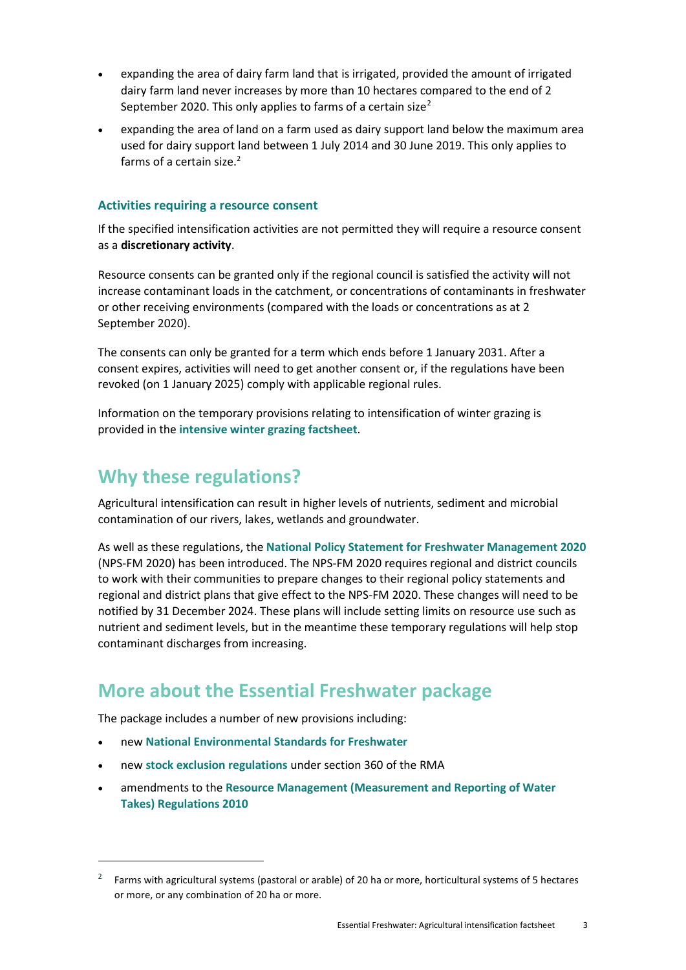- expanding the area of dairy farm land that is irrigated, provided the amount of irrigated dairy farm land never increases by more than 10 hectares compared to the end of 2 September [2](#page-2-0)020. This only applies to farms of a certain size<sup>2</sup>
- expanding the area of land on a farm used as dairy support land below the maximum area used for dairy support land between 1 July 2014 and 30 June 2019. This only applies to farms of a certain size.<sup>2</sup>

### **Activities requiring a resource consent**

If the specified intensification activities are not permitted they will require a resource consent as a **discretionary activity**.

Resource consents can be granted only if the regional council is satisfied the activity will not increase contaminant loads in the catchment, or concentrations of contaminants in freshwater or other receiving environments (compared with the loads or concentrations as at 2 September 2020).

The consents can only be granted for a term which ends before 1 January 2031. After a consent expires, activities will need to get another consent or, if the regulations have been revoked (on 1 January 2025) comply with applicable regional rules.

Information on the temporary provisions relating to intensification of winter grazing is provided in the **[intensive winter](https://www.mfe.govt.nz/publications/fresh-water/essential-freshwater-intensive-winter-grazing) grazing factsheet**.

## **Why these regulations?**

Agricultural intensification can result in higher levels of nutrients, sediment and microbial contamination of our rivers, lakes, wetlands and groundwater.

As well as these regulations, the **[National Policy Statement for Freshwater Management](https://www.mfe.govt.nz/publications/fresh-water/national-policy-statement-freshwater-management-2020) 2020** (NPS-FM 2020) has been introduced. The NPS-FM 2020 requires regional and district councils to work with their communities to prepare changes to their regional policy statements and regional and district plans that give effect to the NPS-FM 2020. These changes will need to be notified by 31 December 2024. These plans will include setting limits on resource use such as nutrient and sediment levels, but in the meantime these temporary regulations will help stop contaminant discharges from increasing.

### **More about the Essential Freshwater package**

The package includes a number of new provisions including:

• new **[National Environmental Standards for Freshwater](http://www.legislation.govt.nz/regulation/public/2020/0174/latest/LMS364099.html)**

 $\overline{a}$ 

- new **[stock exclusion regulations](http://www.legislation.govt.nz/regulation/public/2020/0175/latest/LMS379869.html)** under section 360 of the RMA
- amendments to the **[Resource Management \(Measurement and Reporting of Water](http://www.legislation.govt.nz/regulation/public/2020/0176/latest/LMS351161.html)  [Takes\) Regulations 2010](http://www.legislation.govt.nz/regulation/public/2020/0176/latest/LMS351161.html)**

<span id="page-2-0"></span><sup>2</sup> Farms with agricultural systems (pastoral or arable) of 20 ha or more, horticultural systems of 5 hectares or more, or any combination of 20 ha or more.